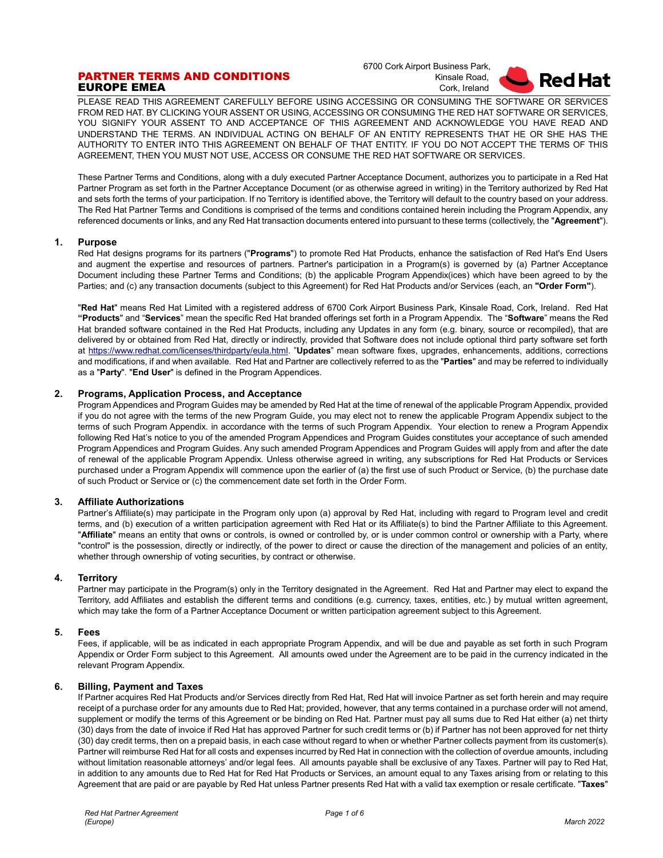# PARTNER TERMS AND CONDITIONS EUROPE EMEA

 6700 Cork Airport Business Park, Kinsale Road, Cork, Ireland



PLEASE READ THIS AGREEMENT CAREFULLY BEFORE USING ACCESSING OR CONSUMING THE SOFTWARE OR SERVICES FROM RED HAT. BY CLICKING YOUR ASSENT OR USING, ACCESSING OR CONSUMING THE RED HAT SOFTWARE OR SERVICES, YOU SIGNIFY YOUR ASSENT TO AND ACCEPTANCE OF THIS AGREEMENT AND ACKNOWLEDGE YOU HAVE READ AND UNDERSTAND THE TERMS. AN INDIVIDUAL ACTING ON BEHALF OF AN ENTITY REPRESENTS THAT HE OR SHE HAS THE AUTHORITY TO ENTER INTO THIS AGREEMENT ON BEHALF OF THAT ENTITY. IF YOU DO NOT ACCEPT THE TERMS OF THIS AGREEMENT, THEN YOU MUST NOT USE, ACCESS OR CONSUME THE RED HAT SOFTWARE OR SERVICES.

These Partner Terms and Conditions, along with a duly executed Partner Acceptance Document, authorizes you to participate in a Red Hat Partner Program as set forth in the Partner Acceptance Document (or as otherwise agreed in writing) in the Territory authorized by Red Hat and sets forth the terms of your participation. If no Territory is identified above, the Territory will default to the country based on your address. The Red Hat Partner Terms and Conditions is comprised of the terms and conditions contained herein including the Program Appendix, any referenced documents or links, and any Red Hat transaction documents entered into pursuant to these terms (collectively, the "**Agreement**").

## **1. Purpose**

Red Hat designs programs for its partners ("**Programs**") to promote Red Hat Products, enhance the satisfaction of Red Hat's End Users and augment the expertise and resources of partners. Partner's participation in a Program(s) is governed by (a) Partner Acceptance Document including these Partner Terms and Conditions; (b) the applicable Program Appendix(ices) which have been agreed to by the Parties; and (c) any transaction documents (subject to this Agreement) for Red Hat Products and/or Services (each, an **"Order Form"**).

"**Red Hat**" means Red Hat Limited with a registered address of 6700 Cork Airport Business Park, Kinsale Road, Cork, Ireland. Red Hat **"Products**" and "**Services**" mean the specific Red Hat branded offerings set forth in a Program Appendix. The "**Software**" means the Red Hat branded software contained in the Red Hat Products, including any Updates in any form (e.g. binary, source or recompiled), that are delivered by or obtained from Red Hat, directly or indirectly, provided that Software does not include optional third party software set forth at [https://www.redhat.com/licenses/thirdparty/eula.html.](https://www.redhat.com/licenses/thirdparty/eula.html) "**Updates**" mean software fixes, upgrades, enhancements, additions, corrections and modifications, if and when available. Red Hat and Partner are collectively referred to as the "**Parties**" and may be referred to individually as a "**Party**". "**End User**" is defined in the Program Appendices.

## **2. Programs, Application Process, and Acceptance**

Program Appendices and Program Guides may be amended by Red Hat at the time of renewal of the applicable Program Appendix, provided if you do not agree with the terms of the new Program Guide, you may elect not to renew the applicable Program Appendix subject to the terms of such Program Appendix. in accordance with the terms of such Program Appendix. Your election to renew a Program Appendix following Red Hat's notice to you of the amended Program Appendices and Program Guides constitutes your acceptance of such amended Program Appendices and Program Guides. Any such amended Program Appendices and Program Guides will apply from and after the date of renewal of the applicable Program Appendix. Unless otherwise agreed in writing, any subscriptions for Red Hat Products or Services purchased under a Program Appendix will commence upon the earlier of (a) the first use of such Product or Service, (b) the purchase date of such Product or Service or (c) the commencement date set forth in the Order Form.

## **3. Affiliate Authorizations**

Partner's Affiliate(s) may participate in the Program only upon (a) approval by Red Hat, including with regard to Program level and credit terms, and (b) execution of a written participation agreement with Red Hat or its Affiliate(s) to bind the Partner Affiliate to this Agreement. "**Affiliate**" means an entity that owns or controls, is owned or controlled by, or is under common control or ownership with a Party, where "control" is the possession, directly or indirectly, of the power to direct or cause the direction of the management and policies of an entity, whether through ownership of voting securities, by contract or otherwise.

## **4. Territory**

Partner may participate in the Program(s) only in the Territory designated in the Agreement. Red Hat and Partner may elect to expand the Territory, add Affiliates and establish the different terms and conditions (e.g. currency, taxes, entities, etc.) by mutual written agreement, which may take the form of a Partner Acceptance Document or written participation agreement subject to this Agreement.

## **5. Fees**

Fees, if applicable, will be as indicated in each appropriate Program Appendix, and will be due and payable as set forth in such Program Appendix or Order Form subject to this Agreement. All amounts owed under the Agreement are to be paid in the currency indicated in the relevant Program Appendix.

# **6. Billing, Payment and Taxes**

If Partner acquires Red Hat Products and/or Services directly from Red Hat, Red Hat will invoice Partner as set forth herein and may require receipt of a purchase order for any amounts due to Red Hat; provided, however, that any terms contained in a purchase order will not amend, supplement or modify the terms of this Agreement or be binding on Red Hat. Partner must pay all sums due to Red Hat either (a) net thirty (30) days from the date of invoice if Red Hat has approved Partner for such credit terms or (b) if Partner has not been approved for net thirty (30) day credit terms, then on a prepaid basis, in each case without regard to when or whether Partner collects payment from its customer(s). Partner will reimburse Red Hat for all costs and expenses incurred by Red Hat in connection with the collection of overdue amounts, including without limitation reasonable attorneys' and/or legal fees. All amounts payable shall be exclusive of any Taxes. Partner will pay to Red Hat, in addition to any amounts due to Red Hat for Red Hat Products or Services, an amount equal to any Taxes arising from or relating to this Agreement that are paid or are payable by Red Hat unless Partner presents Red Hat with a valid tax exemption or resale certificate. "**Taxes**"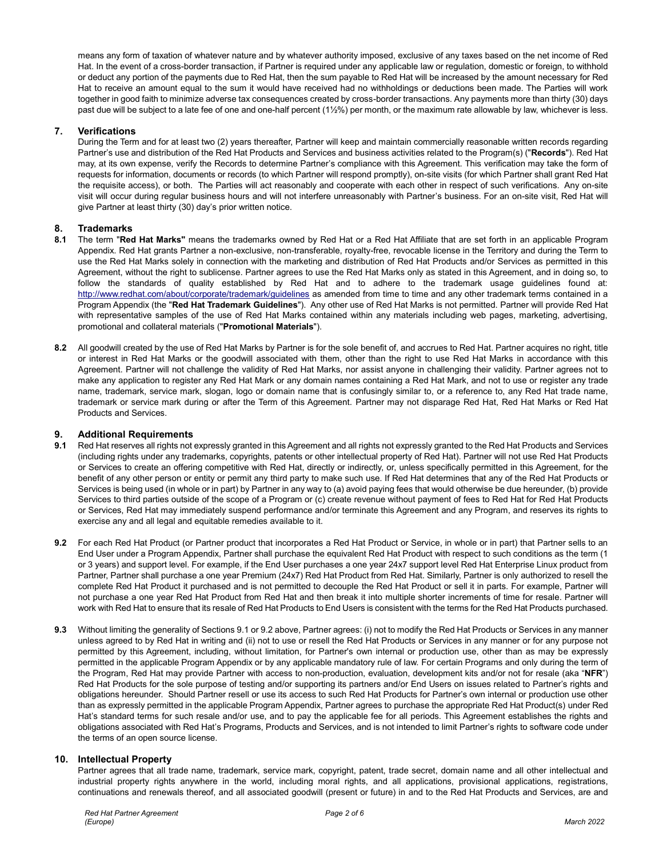means any form of taxation of whatever nature and by whatever authority imposed, exclusive of any taxes based on the net income of Red Hat. In the event of a cross-border transaction, if Partner is required under any applicable law or regulation, domestic or foreign, to withhold or deduct any portion of the payments due to Red Hat, then the sum payable to Red Hat will be increased by the amount necessary for Red Hat to receive an amount equal to the sum it would have received had no withholdings or deductions been made. The Parties will work together in good faith to minimize adverse tax consequences created by cross-border transactions. Any payments more than thirty (30) days past due will be subject to a late fee of one and one-half percent (1½%) per month, or the maximum rate allowable by law, whichever is less.

# **7. Verifications**

During the Term and for at least two (2) years thereafter, Partner will keep and maintain commercially reasonable written records regarding Partner's use and distribution of the Red Hat Products and Services and business activities related to the Program(s) ("**Records**"). Red Hat may, at its own expense, verify the Records to determine Partner's compliance with this Agreement. This verification may take the form of requests for information, documents or records (to which Partner will respond promptly), on-site visits (for which Partner shall grant Red Hat the requisite access), or both. The Parties will act reasonably and cooperate with each other in respect of such verifications. Any on-site visit will occur during regular business hours and will not interfere unreasonably with Partner's business. For an on-site visit, Red Hat will give Partner at least thirty (30) day's prior written notice.

## **8. Trademarks**

- **8.1** The term "**Red Hat Marks"** means the trademarks owned by Red Hat or a Red Hat Affiliate that are set forth in an applicable Program Appendix. Red Hat grants Partner a non-exclusive, non-transferable, royalty-free, revocable license in the Territory and during the Term to use the Red Hat Marks solely in connection with the marketing and distribution of Red Hat Products and/or Services as permitted in this Agreement, without the right to sublicense. Partner agrees to use the Red Hat Marks only as stated in this Agreement, and in doing so, to follow the standards of quality established by Red Hat and to adhere to the trademark usage guidelines found at: <http://www.redhat.com/about/corporate/trademark/guidelines> as amended from time to time and any other trademark terms contained in a Program Appendix (the "**Red Hat Trademark Guidelines**"). Any other use of Red Hat Marks is not permitted. Partner will provide Red Hat with representative samples of the use of Red Hat Marks contained within any materials including web pages, marketing, advertising, promotional and collateral materials ("**Promotional Materials**").
- **8.2** All goodwill created by the use of Red Hat Marks by Partner is for the sole benefit of, and accrues to Red Hat. Partner acquires no right, title or interest in Red Hat Marks or the goodwill associated with them, other than the right to use Red Hat Marks in accordance with this Agreement. Partner will not challenge the validity of Red Hat Marks, nor assist anyone in challenging their validity. Partner agrees not to make any application to register any Red Hat Mark or any domain names containing a Red Hat Mark, and not to use or register any trade name, trademark, service mark, slogan, logo or domain name that is confusingly similar to, or a reference to, any Red Hat trade name, trademark or service mark during or after the Term of this Agreement. Partner may not disparage Red Hat, Red Hat Marks or Red Hat Products and Services.

# **9. Additional Requirements**

- **9.1** Red Hat reserves all rights not expressly granted in this Agreement and all rights not expressly granted to the Red Hat Products and Services (including rights under any trademarks, copyrights, patents or other intellectual property of Red Hat). Partner will not use Red Hat Products or Services to create an offering competitive with Red Hat, directly or indirectly, or, unless specifically permitted in this Agreement, for the benefit of any other person or entity or permit any third party to make such use. If Red Hat determines that any of the Red Hat Products or Services is being used (in whole or in part) by Partner in any way to (a) avoid paying fees that would otherwise be due hereunder, (b) provide Services to third parties outside of the scope of a Program or (c) create revenue without payment of fees to Red Hat for Red Hat Products or Services, Red Hat may immediately suspend performance and/or terminate this Agreement and any Program, and reserves its rights to exercise any and all legal and equitable remedies available to it.
- **9.2** For each Red Hat Product (or Partner product that incorporates a Red Hat Product or Service, in whole or in part) that Partner sells to an End User under a Program Appendix, Partner shall purchase the equivalent Red Hat Product with respect to such conditions as the term (1 or 3 years) and support level. For example, if the End User purchases a one year 24x7 support level Red Hat Enterprise Linux product from Partner, Partner shall purchase a one year Premium (24x7) Red Hat Product from Red Hat. Similarly, Partner is only authorized to resell the complete Red Hat Product it purchased and is not permitted to decouple the Red Hat Product or sell it in parts. For example, Partner will not purchase a one year Red Hat Product from Red Hat and then break it into multiple shorter increments of time for resale. Partner will work with Red Hat to ensure that its resale of Red Hat Products to End Users is consistent with the terms for the Red Hat Products purchased.
- **9.3** Without limiting the generality of Sections 9.1 or 9.2 above, Partner agrees: (i) not to modify the Red Hat Products or Services in any manner unless agreed to by Red Hat in writing and (ii) not to use or resell the Red Hat Products or Services in any manner or for any purpose not permitted by this Agreement, including, without limitation, for Partner's own internal or production use, other than as may be expressly permitted in the applicable Program Appendix or by any applicable mandatory rule of law. For certain Programs and only during the term of the Program, Red Hat may provide Partner with access to non-production, evaluation, development kits and/or not for resale (aka "**NFR**") Red Hat Products for the sole purpose of testing and/or supporting its partners and/or End Users on issues related to Partner's rights and obligations hereunder. Should Partner resell or use its access to such Red Hat Products for Partner's own internal or production use other than as expressly permitted in the applicable Program Appendix, Partner agrees to purchase the appropriate Red Hat Product(s) under Red Hat's standard terms for such resale and/or use, and to pay the applicable fee for all periods. This Agreement establishes the rights and obligations associated with Red Hat's Programs, Products and Services, and is not intended to limit Partner's rights to software code under the terms of an open source license.

## **10. Intellectual Property**

Partner agrees that all trade name, trademark, service mark, copyright, patent, trade secret, domain name and all other intellectual and industrial property rights anywhere in the world, including moral rights, and all applications, provisional applications, registrations, continuations and renewals thereof, and all associated goodwill (present or future) in and to the Red Hat Products and Services, are and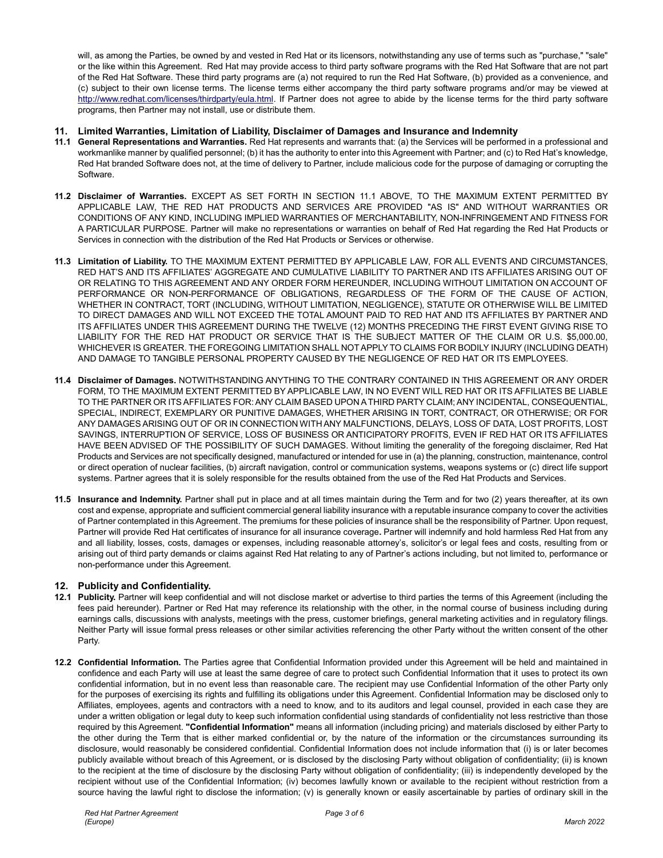will, as among the Parties, be owned by and vested in Red Hat or its licensors, notwithstanding any use of terms such as "purchase," "sale" or the like within this Agreement. Red Hat may provide access to third party software programs with the Red Hat Software that are not part of the Red Hat Software. These third party programs are (a) not required to run the Red Hat Software, (b) provided as a convenience, and (c) subject to their own license terms. The license terms either accompany the third party software programs and/or may be viewed at [http://www.redhat.com/licenses/thirdparty/eula.html.](http://www.redhat.com/licenses/thirdparty/eula.html) If Partner does not agree to abide by the license terms for the third party software programs, then Partner may not install, use or distribute them.

## **11. Limited Warranties, Limitation of Liability, Disclaimer of Damages and Insurance and Indemnity**

- **11.1 General Representations and Warranties.** Red Hat represents and warrants that: (a) the Services will be performed in a professional and workmanlike manner by qualified personnel; (b) it has the authority to enter into this Agreement with Partner; and (c) to Red Hat's knowledge, Red Hat branded Software does not, at the time of delivery to Partner, include malicious code for the purpose of damaging or corrupting the Software.
- **11.2 Disclaimer of Warranties.** EXCEPT AS SET FORTH IN SECTION 11.1 ABOVE, TO THE MAXIMUM EXTENT PERMITTED BY APPLICABLE LAW, THE RED HAT PRODUCTS AND SERVICES ARE PROVIDED "AS IS" AND WITHOUT WARRANTIES OR CONDITIONS OF ANY KIND, INCLUDING IMPLIED WARRANTIES OF MERCHANTABILITY, NON-INFRINGEMENT AND FITNESS FOR A PARTICULAR PURPOSE. Partner will make no representations or warranties on behalf of Red Hat regarding the Red Hat Products or Services in connection with the distribution of the Red Hat Products or Services or otherwise.
- **11.3 Limitation of Liability.** TO THE MAXIMUM EXTENT PERMITTED BY APPLICABLE LAW, FOR ALL EVENTS AND CIRCUMSTANCES, RED HAT'S AND ITS AFFILIATES' AGGREGATE AND CUMULATIVE LIABILITY TO PARTNER AND ITS AFFILIATES ARISING OUT OF OR RELATING TO THIS AGREEMENT AND ANY ORDER FORM HEREUNDER, INCLUDING WITHOUT LIMITATION ON ACCOUNT OF PERFORMANCE OR NON-PERFORMANCE OF OBLIGATIONS, REGARDLESS OF THE FORM OF THE CAUSE OF ACTION, WHETHER IN CONTRACT, TORT (INCLUDING, WITHOUT LIMITATION, NEGLIGENCE), STATUTE OR OTHERWISE WILL BE LIMITED TO DIRECT DAMAGES AND WILL NOT EXCEED THE TOTAL AMOUNT PAID TO RED HAT AND ITS AFFILIATES BY PARTNER AND ITS AFFILIATES UNDER THIS AGREEMENT DURING THE TWELVE (12) MONTHS PRECEDING THE FIRST EVENT GIVING RISE TO LIABILITY FOR THE RED HAT PRODUCT OR SERVICE THAT IS THE SUBJECT MATTER OF THE CLAIM OR U.S. \$5,000.00, WHICHEVER IS GREATER. THE FOREGOING LIMITATION SHALL NOT APPLY TO CLAIMS FOR BODILY INJURY (INCLUDING DEATH) AND DAMAGE TO TANGIBLE PERSONAL PROPERTY CAUSED BY THE NEGLIGENCE OF RED HAT OR ITS EMPLOYEES.
- **11.4 Disclaimer of Damages.** NOTWITHSTANDING ANYTHING TO THE CONTRARY CONTAINED IN THIS AGREEMENT OR ANY ORDER FORM, TO THE MAXIMUM EXTENT PERMITTED BY APPLICABLE LAW, IN NO EVENT WILL RED HAT OR ITS AFFILIATES BE LIABLE TO THE PARTNER OR ITS AFFILIATES FOR: ANY CLAIM BASED UPON A THIRD PARTY CLAIM; ANY INCIDENTAL, CONSEQUENTIAL, SPECIAL, INDIRECT, EXEMPLARY OR PUNITIVE DAMAGES, WHETHER ARISING IN TORT, CONTRACT, OR OTHERWISE; OR FOR ANY DAMAGES ARISING OUT OF OR IN CONNECTION WITH ANY MALFUNCTIONS, DELAYS, LOSS OF DATA, LOST PROFITS, LOST SAVINGS, INTERRUPTION OF SERVICE, LOSS OF BUSINESS OR ANTICIPATORY PROFITS, EVEN IF RED HAT OR ITS AFFILIATES HAVE BEEN ADVISED OF THE POSSIBILITY OF SUCH DAMAGES. Without limiting the generality of the foregoing disclaimer, Red Hat Products and Services are not specifically designed, manufactured or intended for use in (a) the planning, construction, maintenance, control or direct operation of nuclear facilities, (b) aircraft navigation, control or communication systems, weapons systems or (c) direct life support systems. Partner agrees that it is solely responsible for the results obtained from the use of the Red Hat Products and Services.
- **11.5 Insurance and Indemnity.** Partner shall put in place and at all times maintain during the Term and for two (2) years thereafter, at its own cost and expense, appropriate and sufficient commercial general liability insurance with a reputable insurance company to cover the activities of Partner contemplated in this Agreement. The premiums for these policies of insurance shall be the responsibility of Partner. Upon request, Partner will provide Red Hat certificates of insurance for all insurance coverage**.** Partner will indemnify and hold harmless Red Hat from any and all liability, losses, costs, damages or expenses, including reasonable attorney's, solicitor's or legal fees and costs, resulting from or arising out of third party demands or claims against Red Hat relating to any of Partner's actions including, but not limited to, performance or non-performance under this Agreement.

# **12. Publicity and Confidentiality.**

- **12.1 Publicity.** Partner will keep confidential and will not disclose market or advertise to third parties the terms of this Agreement (including the fees paid hereunder). Partner or Red Hat may reference its relationship with the other, in the normal course of business including during earnings calls, discussions with analysts, meetings with the press, customer briefings, general marketing activities and in regulatory filings. Neither Party will issue formal press releases or other similar activities referencing the other Party without the written consent of the other Party.
- **12.2 Confidential Information.** The Parties agree that Confidential Information provided under this Agreement will be held and maintained in confidence and each Party will use at least the same degree of care to protect such Confidential Information that it uses to protect its own confidential information, but in no event less than reasonable care. The recipient may use Confidential Information of the other Party only for the purposes of exercising its rights and fulfilling its obligations under this Agreement. Confidential Information may be disclosed only to Affiliates, employees, agents and contractors with a need to know, and to its auditors and legal counsel, provided in each case they are under a written obligation or legal duty to keep such information confidential using standards of confidentiality not less restrictive than those required by this Agreement. **"Confidential Information"** means all information (including pricing) and materials disclosed by either Party to the other during the Term that is either marked confidential or, by the nature of the information or the circumstances surrounding its disclosure, would reasonably be considered confidential. Confidential Information does not include information that (i) is or later becomes publicly available without breach of this Agreement, or is disclosed by the disclosing Party without obligation of confidentiality; (ii) is known to the recipient at the time of disclosure by the disclosing Party without obligation of confidentiality; (iii) is independently developed by the recipient without use of the Confidential Information; (iv) becomes lawfully known or available to the recipient without restriction from a source having the lawful right to disclose the information; (v) is generally known or easily ascertainable by parties of ordinary skill in the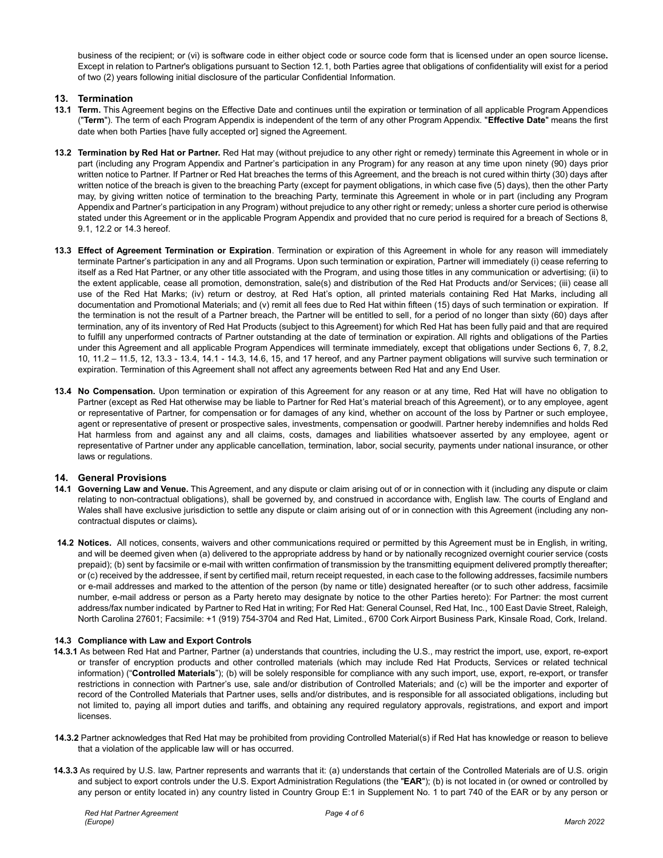business of the recipient; or (vi) is software code in either object code or source code form that is licensed under an open source license**.**  Except in relation to Partner's obligations pursuant to Section 12.1, both Parties agree that obligations of confidentiality will exist for a period of two (2) years following initial disclosure of the particular Confidential Information.

# **13. Termination**

- **13.1 Term.** This Agreement begins on the Effective Date and continues until the expiration or termination of all applicable Program Appendices ("**Term**"). The term of each Program Appendix is independent of the term of any other Program Appendix. "**Effective Date**" means the first date when both Parties [have fully accepted or] signed the Agreement.
- **13.2 Termination by Red Hat or Partner.** Red Hat may (without prejudice to any other right or remedy) terminate this Agreement in whole or in part (including any Program Appendix and Partner's participation in any Program) for any reason at any time upon ninety (90) days prior written notice to Partner. If Partner or Red Hat breaches the terms of this Agreement, and the breach is not cured within thirty (30) days after written notice of the breach is given to the breaching Party (except for payment obligations, in which case five (5) days), then the other Party may, by giving written notice of termination to the breaching Party, terminate this Agreement in whole or in part (including any Program Appendix and Partner's participation in any Program) without prejudice to any other right or remedy; unless a shorter cure period is otherwise stated under this Agreement or in the applicable Program Appendix and provided that no cure period is required for a breach of Sections 8, 9.1, 12.2 or 14.3 hereof.
- **13.3 Effect of Agreement Termination or Expiration**. Termination or expiration of this Agreement in whole for any reason will immediately terminate Partner's participation in any and all Programs. Upon such termination or expiration, Partner will immediately (i) cease referring to itself as a Red Hat Partner, or any other title associated with the Program, and using those titles in any communication or advertising; (ii) to the extent applicable, cease all promotion, demonstration, sale(s) and distribution of the Red Hat Products and/or Services; (iii) cease all use of the Red Hat Marks; (iv) return or destroy, at Red Hat's option, all printed materials containing Red Hat Marks, including all documentation and Promotional Materials; and (v) remit all fees due to Red Hat within fifteen (15) days of such termination or expiration. If the termination is not the result of a Partner breach, the Partner will be entitled to sell, for a period of no longer than sixty (60) days after termination, any of its inventory of Red Hat Products (subject to this Agreement) for which Red Hat has been fully paid and that are required to fulfill any unperformed contracts of Partner outstanding at the date of termination or expiration. All rights and obligations of the Parties under this Agreement and all applicable Program Appendices will terminate immediately, except that obligations under Sections 6, 7, 8.2, 10, 11.2 – 11.5, 12, 13.3 - 13.4, 14.1 - 14.3, 14.6, 15, and 17 hereof, and any Partner payment obligations will survive such termination or expiration. Termination of this Agreement shall not affect any agreements between Red Hat and any End User.
- **13.4 No Compensation.** Upon termination or expiration of this Agreement for any reason or at any time, Red Hat will have no obligation to Partner (except as Red Hat otherwise may be liable to Partner for Red Hat's material breach of this Agreement), or to any employee, agent or representative of Partner, for compensation or for damages of any kind, whether on account of the loss by Partner or such employee, agent or representative of present or prospective sales, investments, compensation or goodwill. Partner hereby indemnifies and holds Red Hat harmless from and against any and all claims, costs, damages and liabilities whatsoever asserted by any employee, agent or representative of Partner under any applicable cancellation, termination, labor, social security, payments under national insurance, or other laws or regulations.

# **14. General Provisions**

- **14.1 Governing Law and Venue.** This Agreement, and any dispute or claim arising out of or in connection with it (including any dispute or claim relating to non-contractual obligations), shall be governed by, and construed in accordance with, English law. The courts of England and Wales shall have exclusive jurisdiction to settle any dispute or claim arising out of or in connection with this Agreement (including any noncontractual disputes or claims)*.*
- **14.2 Notices.** All notices, consents, waivers and other communications required or permitted by this Agreement must be in English, in writing, and will be deemed given when (a) delivered to the appropriate address by hand or by nationally recognized overnight courier service (costs prepaid); (b) sent by facsimile or e-mail with written confirmation of transmission by the transmitting equipment delivered promptly thereafter; or (c) received by the addressee, if sent by certified mail, return receipt requested, in each case to the following addresses, facsimile numbers or e-mail addresses and marked to the attention of the person (by name or title) designated hereafter (or to such other address, facsimile number, e-mail address or person as a Party hereto may designate by notice to the other Parties hereto): For Partner: the most current address/fax number indicated by Partner to Red Hat in writing; For Red Hat: General Counsel, Red Hat, Inc., 100 East Davie Street, Raleigh, North Carolina 27601; Facsimile: +1 (919) 754-3704 and Red Hat, Limited., 6700 Cork Airport Business Park, Kinsale Road, Cork, Ireland.

# **14.3 Compliance with Law and Export Controls**

- **14.3.1** As between Red Hat and Partner, Partner (a) understands that countries, including the U.S., may restrict the import, use, export, re-export or transfer of encryption products and other controlled materials (which may include Red Hat Products, Services or related technical information) ("**Controlled Materials**"); (b) will be solely responsible for compliance with any such import, use, export, re-export, or transfer restrictions in connection with Partner's use, sale and/or distribution of Controlled Materials; and (c) will be the importer and exporter of record of the Controlled Materials that Partner uses, sells and/or distributes, and is responsible for all associated obligations, including but not limited to, paying all import duties and tariffs, and obtaining any required regulatory approvals, registrations, and export and import licenses.
- **14.3.2** Partner acknowledges that Red Hat may be prohibited from providing Controlled Material(s) if Red Hat has knowledge or reason to believe that a violation of the applicable law will or has occurred.
- **14.3.3** As required by U.S. law, Partner represents and warrants that it: (a) understands that certain of the Controlled Materials are of U.S. origin and subject to export controls under the U.S. Export Administration Regulations (the "**EAR**"); (b) is not located in (or owned or controlled by any person or entity located in) any country listed in Country Group E:1 in Supplement No. 1 to part 740 of the EAR or by any person or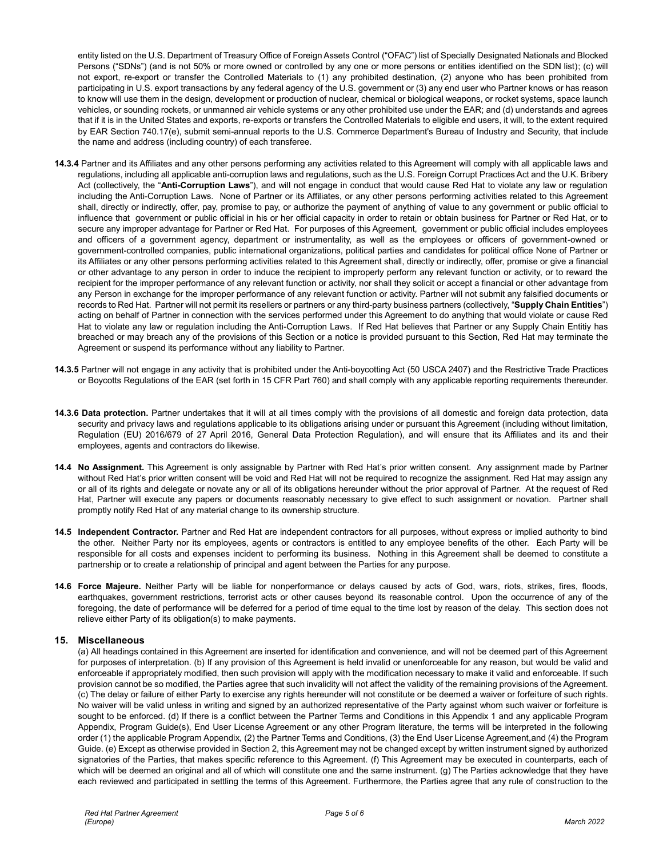entity listed on the U.S. Department of Treasury Office of Foreign Assets Control ("OFAC") list of Specially Designated Nationals and Blocked Persons ("SDNs") (and is not 50% or more owned or controlled by any one or more persons or entities identified on the SDN list); (c) will not export, re-export or transfer the Controlled Materials to (1) any prohibited destination, (2) anyone who has been prohibited from participating in U.S. export transactions by any federal agency of the U.S. government or (3) any end user who Partner knows or has reason to know will use them in the design, development or production of nuclear, chemical or biological weapons, or rocket systems, space launch vehicles, or sounding rockets, or unmanned air vehicle systems or any other prohibited use under the EAR; and (d) understands and agrees that if it is in the United States and exports, re-exports or transfers the Controlled Materials to eligible end users, it will, to the extent required by EAR Section 740.17(e), submit semi-annual reports to the U.S. Commerce Department's Bureau of Industry and Security, that include the name and address (including country) of each transferee.

- **14.3.4** Partner and its Affiliates and any other persons performing any activities related to this Agreement will comply with all applicable laws and regulations, including all applicable anti-corruption laws and regulations, such as the U.S. Foreign Corrupt Practices Act and the U.K. Bribery Act (collectively, the "**Anti-Corruption Laws**"), and will not engage in conduct that would cause Red Hat to violate any law or regulation including the Anti-Corruption Laws. None of Partner or its Affiliates, or any other persons performing activities related to this Agreement shall, directly or indirectly, offer, pay, promise to pay, or authorize the payment of anything of value to any government or public official to influence that government or public official in his or her official capacity in order to retain or obtain business for Partner or Red Hat, or to secure any improper advantage for Partner or Red Hat. For purposes of this Agreement, government or public official includes employees and officers of a government agency, department or instrumentality, as well as the employees or officers of government-owned or government-controlled companies, public international organizations, political parties and candidates for political office None of Partner or its Affiliates or any other persons performing activities related to this Agreement shall, directly or indirectly, offer, promise or give a financial or other advantage to any person in order to induce the recipient to improperly perform any relevant function or activity, or to reward the recipient for the improper performance of any relevant function or activity, nor shall they solicit or accept a financial or other advantage from any Person in exchange for the improper performance of any relevant function or activity. Partner will not submit any falsified documents or records to Red Hat. Partner will not permit its resellers or partners or any third-party business partners (collectively, "**Supply Chain Entities**") acting on behalf of Partner in connection with the services performed under this Agreement to do anything that would violate or cause Red Hat to violate any law or regulation including the Anti-Corruption Laws. If Red Hat believes that Partner or any Supply Chain Entitiy has breached or may breach any of the provisions of this Section or a notice is provided pursuant to this Section, Red Hat may terminate the Agreement or suspend its performance without any liability to Partner.
- **14.3.5** Partner will not engage in any activity that is prohibited under the Anti-boycotting Act (50 USCA 2407) and the Restrictive Trade Practices or Boycotts Regulations of the EAR (set forth in 15 CFR Part 760) and shall comply with any applicable reporting requirements thereunder.
- **14.3.6 Data protection.** Partner undertakes that it will at all times comply with the provisions of all domestic and foreign data protection, data security and privacy laws and regulations applicable to its obligations arising under or pursuant this Agreement (including without limitation, Regulation (EU) 2016/679 of 27 April 2016, General Data Protection Regulation), and will ensure that its Affiliates and its and their employees, agents and contractors do likewise.
- **14.4 No Assignment.** This Agreement is only assignable by Partner with Red Hat's prior written consent. Any assignment made by Partner without Red Hat's prior written consent will be void and Red Hat will not be required to recognize the assignment. Red Hat may assign any or all of its rights and delegate or novate any or all of its obligations hereunder without the prior approval of Partner. At the request of Red Hat, Partner will execute any papers or documents reasonably necessary to give effect to such assignment or novation. Partner shall promptly notify Red Hat of any material change to its ownership structure.
- **14.5 Independent Contractor.** Partner and Red Hat are independent contractors for all purposes, without express or implied authority to bind the other. Neither Party nor its employees, agents or contractors is entitled to any employee benefits of the other. Each Party will be responsible for all costs and expenses incident to performing its business. Nothing in this Agreement shall be deemed to constitute a partnership or to create a relationship of principal and agent between the Parties for any purpose.
- **14.6 Force Majeure.** Neither Party will be liable for nonperformance or delays caused by acts of God, wars, riots, strikes, fires, floods, earthquakes, government restrictions, terrorist acts or other causes beyond its reasonable control. Upon the occurrence of any of the foregoing, the date of performance will be deferred for a period of time equal to the time lost by reason of the delay. This section does not relieve either Party of its obligation(s) to make payments.

## **15. Miscellaneous**

(a) All headings contained in this Agreement are inserted for identification and convenience, and will not be deemed part of this Agreement for purposes of interpretation. (b) If any provision of this Agreement is held invalid or unenforceable for any reason, but would be valid and enforceable if appropriately modified, then such provision will apply with the modification necessary to make it valid and enforceable. If such provision cannot be so modified, the Parties agree that such invalidity will not affect the validity of the remaining provisions of the Agreement. (c) The delay or failure of either Party to exercise any rights hereunder will not constitute or be deemed a waiver or forfeiture of such rights. No waiver will be valid unless in writing and signed by an authorized representative of the Party against whom such waiver or forfeiture is sought to be enforced. (d) If there is a conflict between the Partner Terms and Conditions in this Appendix 1 and any applicable Program Appendix, Program Guide(s), End User License Agreement or any other Program literature, the terms will be interpreted in the following order (1) the applicable Program Appendix, (2) the Partner Terms and Conditions, (3) the End User License Agreement,and (4) the Program Guide. (e) Except as otherwise provided in Section 2, this Agreement may not be changed except by written instrument signed by authorized signatories of the Parties, that makes specific reference to this Agreement. (f) This Agreement may be executed in counterparts, each of which will be deemed an original and all of which will constitute one and the same instrument. (g) The Parties acknowledge that they have each reviewed and participated in settling the terms of this Agreement. Furthermore, the Parties agree that any rule of construction to the